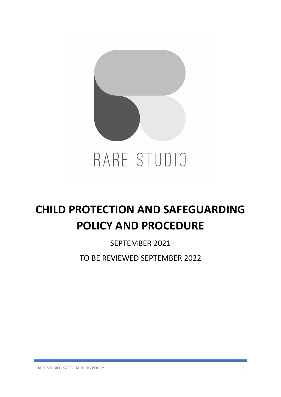

# **CHILD PROTECTION AND SAFEGUARDING POLICY AND PROCEDURE**

# SEPTEMBER 2021

TO BE REVIEWED SEPTEMBER 2022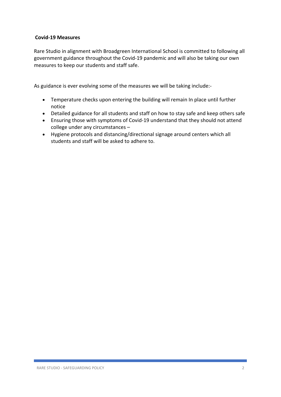#### **Covid-19 Measures**

Rare Studio in alignment with Broadgreen International School is committed to following all government guidance throughout the Covid-19 pandemic and will also be taking our own measures to keep our students and staff safe.

As guidance is ever evolving some of the measures we will be taking include:-

- Temperature checks upon entering the building will remain In place until further notice
- Detailed guidance for all students and staff on how to stay safe and keep others safe
- Ensuring those with symptoms of Covid-19 understand that they should not attend college under any circumstances –
- Hygiene protocols and distancing/directional signage around centers which all students and staff will be asked to adhere to.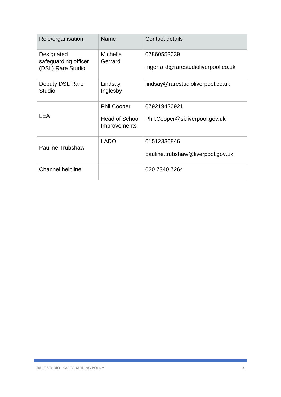| Role/organisation                                       | Name                                                        | Contact details                                   |
|---------------------------------------------------------|-------------------------------------------------------------|---------------------------------------------------|
| Designated<br>safeguarding officer<br>(DSL) Rare Studio | <b>Michelle</b><br>Gerrard                                  | 07860553039<br>mgerrard@rarestudioliverpool.co.uk |
| Deputy DSL Rare<br><b>Studio</b>                        | Lindsay<br>Inglesby                                         | lindsay@rarestudioliverpool.co.uk                 |
| <b>LEA</b>                                              | <b>Phil Cooper</b><br><b>Head of School</b><br>Improvements | 079219420921<br>Phil.Cooper@si.liverpool.gov.uk   |
| <b>Pauline Trubshaw</b>                                 | <b>LADO</b>                                                 | 01512330846<br>pauline.trubshaw@liverpool.gov.uk  |
| Channel helpline                                        |                                                             | 020 7340 7264                                     |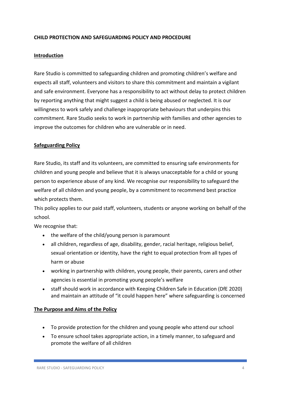## **CHILD PROTECTION AND SAFEGUARDING POLICY AND PROCEDURE**

#### **Introduction**

Rare Studio is committed to safeguarding children and promoting children's welfare and expects all staff, volunteers and visitors to share this commitment and maintain a vigilant and safe environment. Everyone has a responsibility to act without delay to protect children by reporting anything that might suggest a child is being abused or neglected. It is our willingness to work safely and challenge inappropriate behaviours that underpins this commitment. Rare Studio seeks to work in partnership with families and other agencies to improve the outcomes for children who are vulnerable or in need.

#### **Safeguarding Policy**

Rare Studio, its staff and its volunteers, are committed to ensuring safe environments for children and young people and believe that it is always unacceptable for a child or young person to experience abuse of any kind. We recognise our responsibility to safeguard the welfare of all children and young people, by a commitment to recommend best practice which protects them.

This policy applies to our paid staff, volunteers, students or anyone working on behalf of the school.

We recognise that:

- the welfare of the child/young person is paramount
- all children, regardless of age, disability, gender, racial heritage, religious belief, sexual orientation or identity, have the right to equal protection from all types of harm or abuse
- working in partnership with children, young people, their parents, carers and other agencies is essential in promoting young people's welfare
- staff should work in accordance with Keeping Children Safe in Education (DfE 2020) and maintain an attitude of "it could happen here" where safeguarding is concerned

#### **The Purpose and Aims of the Policy**

- To provide protection for the children and young people who attend our school
- To ensure school takes appropriate action, in a timely manner, to safeguard and promote the welfare of all children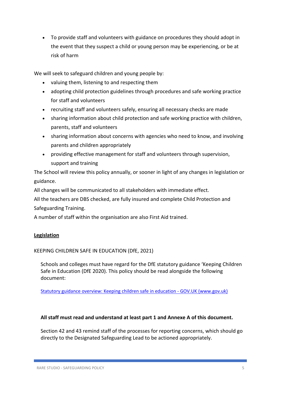• To provide staff and volunteers with guidance on procedures they should adopt in the event that they suspect a child or young person may be experiencing, or be at risk of harm

We will seek to safeguard children and young people by:

- valuing them, listening to and respecting them
- adopting child protection guidelines through procedures and safe working practice for staff and volunteers
- recruiting staff and volunteers safely, ensuring all necessary checks are made
- sharing information about child protection and safe working practice with children, parents, staff and volunteers
- sharing information about concerns with agencies who need to know, and involving parents and children appropriately
- providing effective management for staff and volunteers through supervision, support and training

The School will review this policy annually, or sooner in light of any changes in legislation or guidance.

All changes will be communicated to all stakeholders with immediate effect.

All the teachers are DBS checked, are fully insured and complete Child Protection and Safeguarding Training.

A number of staff within the organisation are also First Aid trained.

# **Legislation**

KEEPING CHILDREN SAFE IN EDUCATION (DfE, 2021)

Schools and colleges must have regard for the DfE statutory guidance 'Keeping Children Safe in Education (DfE 2020). This policy should be read alongside the following document:

[Statutory guidance overview: Keeping children safe in education -](https://www.gov.uk/government/publications/keeping-children-safe-in-education--2) GOV.UK (www.gov.uk)

# **All staff must read and understand at least part 1 and Annexe A of this document.**

Section 42 and 43 remind staff of the processes for reporting concerns, which should go directly to the Designated Safeguarding Lead to be actioned appropriately.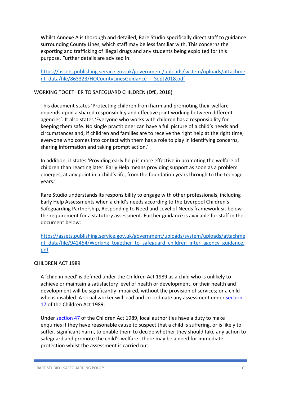Whilst Annexe A is thorough and detailed, Rare Studio specifically direct staff to guidance surrounding County Lines, which staff may be less familiar with. This concerns the exporting and trafficking of illegal drugs and any students being exploited for this purpose. Further details are advised in:

[https://assets.publishing.service.gov.uk/government/uploads/system/uploads/attachme](https://assets.publishing.service.gov.uk/government/uploads/system/uploads/attachment_data/file/863323/HOCountyLinesGuidance_-_Sept2018.pdf) nt\_data/file/863323/HOCountyLinesGuidance - Sept2018.pdf

#### WORKING TOGETHER TO SAFEGUARD CHILDREN (DfE, 2018)

This document states 'Protecting children from harm and promoting their welfare depends upon a shared responsibility and effective joint working between different agencies'. It also states 'Everyone who works with children has a responsibility for keeping them safe. No single practitioner can have a full picture of a child's needs and circumstances and, if children and families are to receive the right help at the right time, everyone who comes into contact with them has a role to play in identifying concerns, sharing information and taking prompt action.'

In addition, it states 'Providing early help is more effective in promoting the welfare of children than reacting later. Early Help means providing support as soon as a problem emerges, at any point in a child's life, from the foundation years through to the teenage years.'

Rare Studio understands its responsibility to engage with other professionals, including Early Help Assessments when a child's needs according to the Liverpool Children's Safeguarding Partnership, Responding to Need and Level of Needs framework sit below the requirement for a statutory assessment. Further guidance is available for staff in the document below:

[https://assets.publishing.service.gov.uk/government/uploads/system/uploads/attachme](https://assets.publishing.service.gov.uk/government/uploads/system/uploads/attachment_data/file/942454/Working_together_to_safeguard_children_inter_agency_guidance.pdf) [nt\\_data/file/942454/Working\\_together\\_to\\_safeguard\\_children\\_inter\\_agency\\_guidance.](https://assets.publishing.service.gov.uk/government/uploads/system/uploads/attachment_data/file/942454/Working_together_to_safeguard_children_inter_agency_guidance.pdf) [pdf](https://assets.publishing.service.gov.uk/government/uploads/system/uploads/attachment_data/file/942454/Working_together_to_safeguard_children_inter_agency_guidance.pdf)

# CHILDREN ACT 1989

A 'child in need' is defined under the Children Act 1989 as a child who is unlikely to achieve or maintain a satisfactory level of health or development, or their health and development will be significantly impaired, without the provision of services; or a child who is disabled. A social worker will lead and co-ordinate any assessment under section 17 of the Children Act 1989.

Under section 47 of the Children Act 1989, local authorities have a duty to make enquiries if they have reasonable cause to suspect that a child is suffering, or is likely to suffer, significant harm, to enable them to decide whether they should take any action to safeguard and promote the child's welfare. There may be a need for immediate protection whilst the assessment is carried out.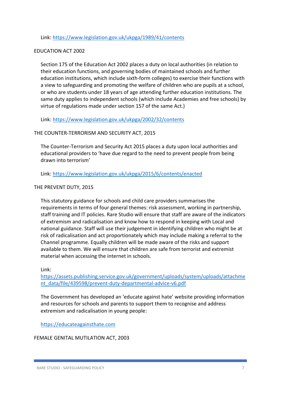Link:<https://www.legislation.gov.uk/ukpga/1989/41/contents>

#### EDUCATION ACT 2002

Section 175 of the Education Act 2002 places a duty on local authorities (in relation to their education functions, and governing bodies of maintained schools and further education institutions, which include sixth-form colleges) to exercise their functions with a view to safeguarding and promoting the welfare of children who are pupils at a school, or who are students under 18 years of age attending further education institutions. The same duty applies to independent schools (which include Academies and free schools) by virtue of regulations made under section 157 of the same Act.)

Link:<https://www.legislation.gov.uk/ukpga/2002/32/contents>

# THE COUNTER-TERRORISM AND SECURITY ACT, 2015

The Counter-Terrorism and Security Act 2015 places a duty upon local authorities and educational providers to 'have due regard to the need to prevent people from being drawn into terrorism'

Link:<https://www.legislation.gov.uk/ukpga/2015/6/contents/enacted>

# THE PREVENT DUTY, 2015

This statutory guidance for schools and child care providers summarises the requirements in terms of four general themes: risk assessment, working in partnership, staff training and IT policies. Rare Studio will ensure that staff are aware of the indicators of extremism and radicalisation and know how to respond in keeping with Local and national guidance. Staff will use their judgement in identifying children who might be at risk of radicalisation and act proportionately which may include making a referral to the Channel programme. Equally children will be made aware of the risks and support available to them. We will ensure that children are safe from terrorist and extremist material when accessing the internet in schools.

#### Link:

[https://assets.publishing.service.gov.uk/government/uploads/system/uploads/attachme](https://assets.publishing.service.gov.uk/government/uploads/system/uploads/attachment_data/file/439598/prevent-duty-departmental-advice-v6.pdf) [nt\\_data/file/439598/prevent-duty-departmental-advice-v6.pdf](https://assets.publishing.service.gov.uk/government/uploads/system/uploads/attachment_data/file/439598/prevent-duty-departmental-advice-v6.pdf)

The Government has developed an 'educate against hate' website providing information and resources for schools and parents to support them to recognise and address extremism and radicalisation in young people:

[https://educateagainsthate.com](https://educateagainsthate.com/)

#### FEMALE GENITAL MUTILATION ACT, 2003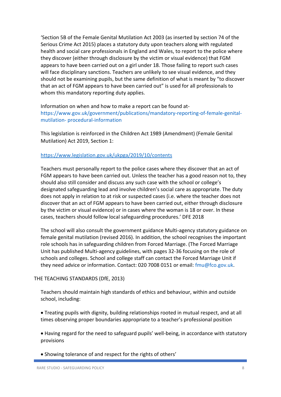'Section 5B of the Female Genital Mutilation Act 2003 (as inserted by section 74 of the Serious Crime Act 2015) places a statutory duty upon teachers along with regulated health and social care professionals in England and Wales, to report to the police where they discover (either through disclosure by the victim or visual evidence) that FGM appears to have been carried out on a girl under 18. Those failing to report such cases will face disciplinary sanctions. Teachers are unlikely to see visual evidence, and they should not be examining pupils, but the same definition of what is meant by "to discover that an act of FGM appears to have been carried out" is used for all professionals to whom this mandatory reporting duty applies.

Information on when and how to make a report can be found athttps://www.gov.uk/government/publications/mandatory-reporting-of-female-genitalmutilation- procedural-information

This legislation is reinforced in the Children Act 1989 (Amendment) (Female Genital Mutilation) Act 2019, Section 1:

#### <https://www.legislation.gov.uk/ukpga/2019/10/contents>

Teachers must personally report to the police cases where they discover that an act of FGM appears to have been carried out. Unless the teacher has a good reason not to, they should also still consider and discuss any such case with the school or college's designated safeguarding lead and involve children's social care as appropriate. The duty does not apply in relation to at risk or suspected cases (i.e. where the teacher does not discover that an act of FGM appears to have been carried out, either through disclosure by the victim or visual evidence) or in cases where the woman is 18 or over. In these cases, teachers should follow local safeguarding procedures.' DFE 2018

The school will also consult the government guidance Multi-agency statutory guidance on female genital mutilation (revised 2016). In addition, the school recognises the important role schools has in safeguarding children from Forced Marriage. (The Forced Marriage Unit has published Multi-agency guidelines, with pages 32-36 focusing on the role of schools and colleges. School and college staff can contact the Forced Marriage Unit if they need advice or information. Contact: 020 7008 0151 or email: fmu@fco.gov.uk.

#### THE TEACHING STANDARDS (DfE, 2013)

Teachers should maintain high standards of ethics and behaviour, within and outside school, including:

• Treating pupils with dignity, building relationships rooted in mutual respect, and at all times observing proper boundaries appropriate to a teacher's professional position

• Having regard for the need to safeguard pupils' well-being, in accordance with statutory provisions

• Showing tolerance of and respect for the rights of others'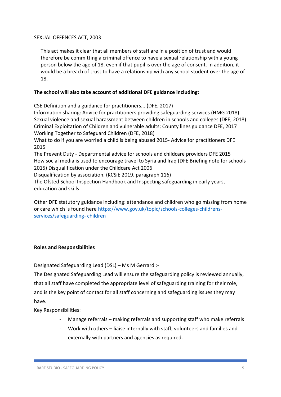#### SEXUAL OFFENCES ACT, 2003

This act makes it clear that all members of staff are in a position of trust and would therefore be committing a criminal offence to have a sexual relationship with a young person below the age of 18, even if that pupil is over the age of consent. In addition, it would be a breach of trust to have a relationship with any school student over the age of 18.

# **The school will also take account of additional DFE guidance including:**

CSE Definition and a guidance for practitioners... (DFE, 2017)

Information sharing: Advice for practitioners providing safeguarding services (HMG 2018) Sexual violence and sexual harassment between children in schools and colleges (DFE, 2018) Criminal Exploitation of Children and vulnerable adults; County lines guidance DFE, 2017 Working Together to Safeguard Children (DFE, 2018)

What to do if you are worried a child is being abused 2015- Advice for practitioners DFE 2015

The Prevent Duty - Departmental advice for schools and childcare providers DFE 2015 How social media is used to encourage travel to Syria and Iraq (DFE Briefing note for schools 2015) Disqualification under the Childcare Act 2006

Disqualification by association. (KCSiE 2019, paragraph 116)

The Ofsted School Inspection Handbook and Inspecting safeguarding in early years, education and skills

Other DFE statutory guidance including: attendance and children who go missing from home or care which is found here https://www.gov.uk/topic/schools-colleges-childrensservices/safeguarding- children

# **Roles and Responsibilities**

Designated Safeguarding Lead (DSL) – Ms M Gerrard :-

The Designated Safeguarding Lead will ensure the safeguarding policy is reviewed annually, that all staff have completed the appropriate level of safeguarding training for their role, and is the key point of contact for all staff concerning and safeguarding issues they may have.

Key Responsibilities:

- Manage referrals making referrals and supporting staff who make referrals
- Work with others liaise internally with staff, volunteers and families and externally with partners and agencies as required.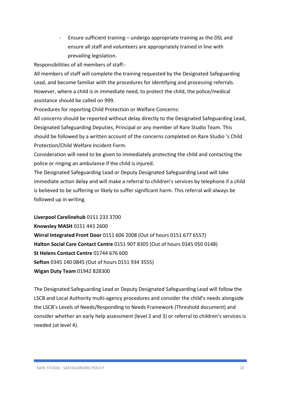- Ensure sufficient training – undergo appropriate training as the DSL and ensure all staff and volunteers are appropriately trained in line with prevailing legislation.

Responsibilities of all members of staff:-

All members of staff will complete the training requested by the Designated Safeguarding Lead, and become familiar with the procedures for identifying and processing referrals. However, where a child is in immediate need, to protect the child, the police/medical assistance should be called on 999.

Procedures for reporting Child Protection or Welfare Concerns:

All concerns should be reported without delay directly to the Designated Safeguarding Lead, Designated Safeguarding Deputies, Principal or any member of Rare Studio Team. This should be followed by a written account of the concerns completed on Rare Studio 's Child Protection/Child Welfare Incident Form.

Consideration will need to be given to immediately protecting the child and contacting the police or ringing an ambulance if the child is injured.

The Designated Safeguarding Lead or Deputy Designated Safeguarding Lead will take immediate action delay and will make a referral to children's services by telephone if a child is believed to be suffering or likely to suffer significant harm. This referral will always be followed up in writing.

**Liverpool Carelinehub** 0151 233 3700 **Knowsley MASH** 0151 443 2600 **Wirral Integrated Front Door** 0151 606 2008 (Out of hours 0151 677 6557) **Halton Social Care Contact Centre** 0151 907 8305 (Out of hours 0345 050 0148) **St Helens Contact Centre** 01744 676 600 **Sefton** 0345 140 0845 (Out of hours 0151 934 3555) **Wigan Duty Team** 01942 828300

The Designated Safeguarding Lead or Deputy Designated Safeguarding Lead will follow the LSCB and Local Authority multi-agency procedures and consider the child's needs alongside the LSCB's Levels of Needs/Responding to Needs Framework (Threshold document) and consider whether an early help assessment (level 2 and 3) or referral to children's services is needed (at level 4).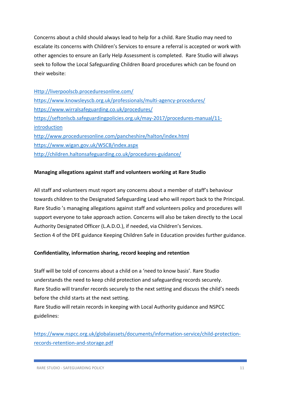Concerns about a child should always lead to help for a child. Rare Studio may need to escalate its concerns with Children's Services to ensure a referral is accepted or work with other agencies to ensure an Early Help Assessment is completed. Rare Studio will always seek to follow the Local Safeguarding Children Board procedures which can be found on their website:

| Http://liverpoolscb.proceduresonline.com/                                     |
|-------------------------------------------------------------------------------|
| https://www.knowsleyscb.org.uk/professionals/multi-agency-procedures/         |
| https://www.wirralsafeguarding.co.uk/procedures/                              |
| https://seftonlscb.safeguardingpolicies.org.uk/may-2017/procedures-manual/11- |
| introduction                                                                  |
| http://www.proceduresonline.com/pancheshire/halton/index.html                 |
| https://www.wigan.gov.uk/WSCB/index.aspx                                      |
| http://children.haltonsafeguarding.co.uk/procedures-guidance/                 |

# **Managing allegations against staff and volunteers working at Rare Studio**

All staff and volunteers must report any concerns about a member of staff's behaviour towards children to the Designated Safeguarding Lead who will report back to the Principal. Rare Studio 's managing allegations against staff and volunteers policy and procedures will support everyone to take approach action. Concerns will also be taken directly to the Local Authority Designated Officer (L.A.D.O.), if needed, via Children's Services. Section 4 of the DFE guidance Keeping Children Safe in Education provides further guidance.

# **Confidentiality, information sharing, record keeping and retention**

Staff will be told of concerns about a child on a 'need to know basis'. Rare Studio understands the need to keep child protection and safeguarding records securely. Rare Studio will transfer records securely to the next setting and discuss the child's needs before the child starts at the next setting.

Rare Studio will retain records in keeping with Local Authority guidance and NSPCC guidelines:

[https://www.nspcc.org.uk/globalassets/documents/information-service/child-protection](https://www.nspcc.org.uk/globalassets/documents/information-service/child-protection-records-retention-and-storage.pdf)[records-retention-and-storage.pdf](https://www.nspcc.org.uk/globalassets/documents/information-service/child-protection-records-retention-and-storage.pdf)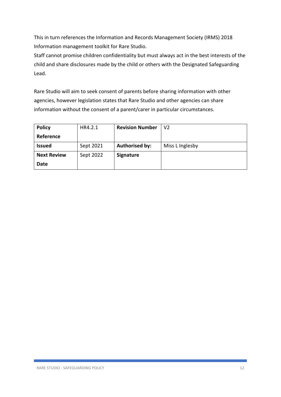This in turn references the Information and Records Management Society (IRMS) 2018 Information management toolkit for Rare Studio.

Staff cannot promise children confidentiality but must always act in the best interests of the child and share disclosures made by the child or others with the Designated Safeguarding Lead.

Rare Studio will aim to seek consent of parents before sharing information with other agencies, however legislation states that Rare Studio and other agencies can share information without the consent of a parent/carer in particular circumstances.

| <b>Policy</b>      | HR4.2.1   | <b>Revision Number</b> | V <sub>2</sub>  |
|--------------------|-----------|------------------------|-----------------|
| Reference          |           |                        |                 |
| <b>Issued</b>      | Sept 2021 | <b>Authorised by:</b>  | Miss L Inglesby |
| <b>Next Review</b> | Sept 2022 | <b>Signature</b>       |                 |
| <b>Date</b>        |           |                        |                 |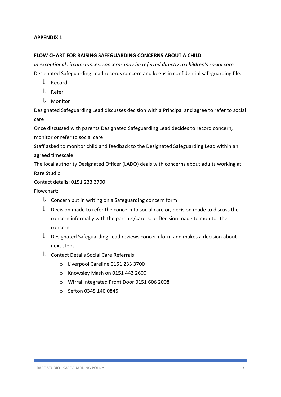# **APPENDIX 1**

# **FLOW CHART FOR RAISING SAFEGUARDING CONCERNS ABOUT A CHILD**

*In exceptional circumstances, concerns may be referred directly to children's social care*  Designated Safeguarding Lead records concern and keeps in confidential safeguarding file.

- $\Downarrow$  Record
- Refer
- $\Downarrow$  Monitor

Designated Safeguarding Lead discusses decision with a Principal and agree to refer to social care

Once discussed with parents Designated Safeguarding Lead decides to record concern, monitor or refer to social care

Staff asked to monitor child and feedback to the Designated Safeguarding Lead within an agreed timescale

The local authority Designated Officer (LADO) deals with concerns about adults working at Rare Studio

Contact details: 0151 233 3700

Flowchart:

- $\Downarrow$  Concern put in writing on a Safeguarding concern form
- $\Downarrow$  Decision made to refer the concern to social care or, decision made to discuss the concern informally with the parents/carers, or Decision made to monitor the concern.
- $\Downarrow$  Designated Safeguarding Lead reviews concern form and makes a decision about next steps
- $\downarrow$  Contact Details Social Care Referrals:
	- o Liverpool Careline 0151 233 3700
	- o Knowsley Mash on 0151 443 2600
	- o Wirral Integrated Front Door 0151 606 2008
	- o Sefton 0345 140 0845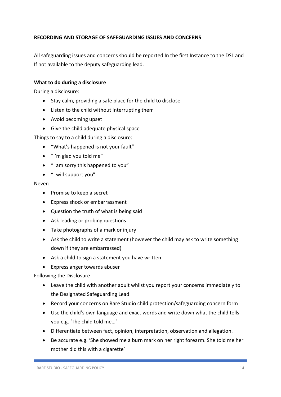# **RECORDING AND STORAGE OF SAFEGUARDING ISSUES AND CONCERNS**

All safeguarding issues and concerns should be reported In the first Instance to the DSL and If not available to the deputy safeguarding lead.

## **What to do during a disclosure**

During a disclosure:

- Stay calm, providing a safe place for the child to disclose
- Listen to the child without interrupting them
- Avoid becoming upset
- Give the child adequate physical space

Things to say to a child during a disclosure:

- "What's happened is not your fault"
- "I'm glad you told me"
- "I am sorry this happened to you"
- "I will support you"

#### Never:

- Promise to keep a secret
- Express shock or embarrassment
- Question the truth of what is being said
- Ask leading or probing questions
- Take photographs of a mark or injury
- Ask the child to write a statement (however the child may ask to write something down if they are embarrassed)
- Ask a child to sign a statement you have written
- Express anger towards abuser

#### Following the Disclosure

- Leave the child with another adult whilst you report your concerns immediately to the Designated Safeguarding Lead
- Record your concerns on Rare Studio child protection/safeguarding concern form
- Use the child's own language and exact words and write down what the child tells you e.g. 'The child told me…'
- Differentiate between fact, opinion, interpretation, observation and allegation.
- Be accurate e.g. 'She showed me a burn mark on her right forearm. She told me her mother did this with a cigarette'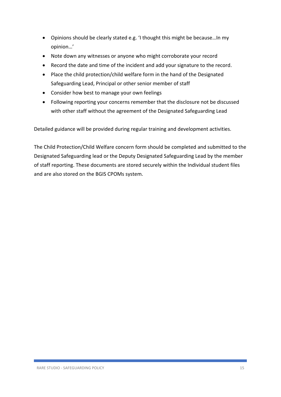- Opinions should be clearly stated e.g. 'I thought this might be because…In my opinion…'
- Note down any witnesses or anyone who might corroborate your record
- Record the date and time of the incident and add your signature to the record.
- Place the child protection/child welfare form in the hand of the Designated Safeguarding Lead, Principal or other senior member of staff
- Consider how best to manage your own feelings
- Following reporting your concerns remember that the disclosure not be discussed with other staff without the agreement of the Designated Safeguarding Lead

Detailed guidance will be provided during regular training and development activities.

The Child Protection/Child Welfare concern form should be completed and submitted to the Designated Safeguarding lead or the Deputy Designated Safeguarding Lead by the member of staff reporting. These documents are stored securely within the Individual student files and are also stored on the BGIS CPOMs system.